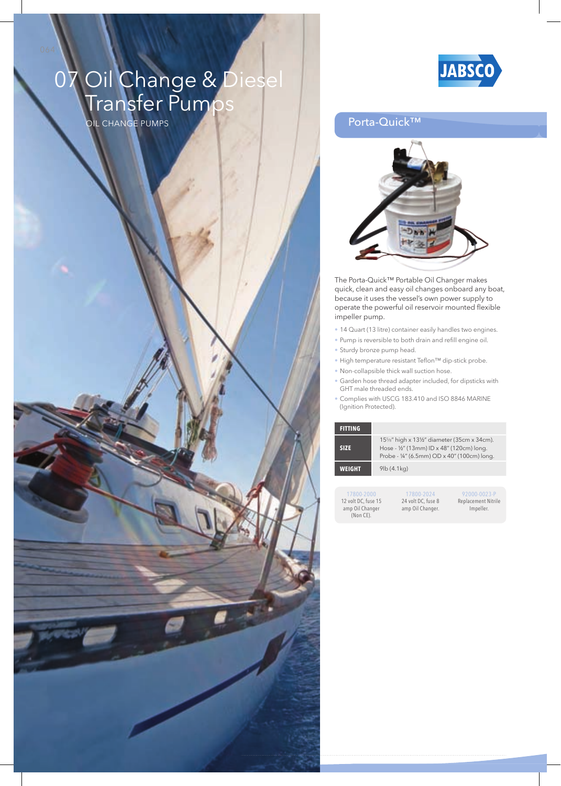## 07 Oil Change & Diesel **Transfer Pumps**

OIL CHAngE PuMPS



### Porta-Quick™



The Porta-Quick™ Portable Oil Changer makes quick, clean and easy oil changes onboard any boat, because it uses the vessel's own power supply to operate the powerful oil reservoir mounted flexible impeller pump.

- 14 Quart (13 litre) container easily handles two engines.
- Pump is reversible to both drain and refill engine oil.
- Sturdy bronze pump head.
- High temperature resistant Teflon<sup>™</sup> dip-stick probe.
- Non-collapsible thick wall suction hose.
- garden hose thread adapter included, for dipsticks with GHT male threaded ends.
- Complies with uSCg 183.410 and ISO 8846 MARInE (Ignition Protected).

| <b>FITTING</b> |                                                                                                                                    |
|----------------|------------------------------------------------------------------------------------------------------------------------------------|
| <b>SIZE</b>    | 15%" high x 13½" diameter (35cm x 34cm).<br>Hose - 1/2" (13mm) ID x 48" (120cm) long.<br>Probe - ¼" (6.5mm) OD x 40" (100cm) long. |
| WEIGHT         | $9$ lb $(4.1$ kg $)$                                                                                                               |
|                |                                                                                                                                    |

17800-2000 12 volt DC, fuse 15 amp Oil Changer (Non CE).

17800-2024 24 volt DC, fuse 8 amp Oil Changer.

92000-0023-P Replacement Nitrile Impeller.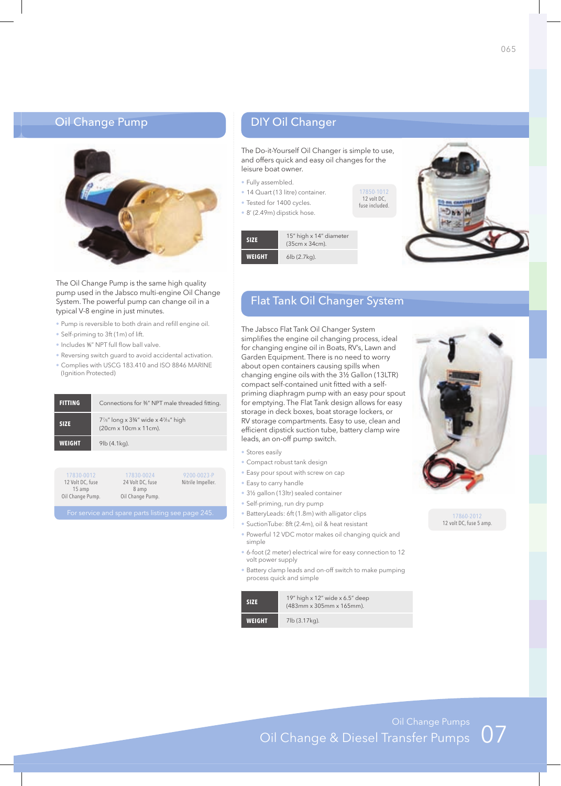### OIL CHAngE PuMPS Porta-Quick™ DIY Oil Changer Oil Change Pump



The Oil Change Pump is the same high quality pump used in the Jabsco multi-engine Oil Change System. The powerful pump can change oil in a typical V-8 engine in just minutes.

- Pump is reversible to both drain and refill engine oil.
- Self-priming to 3ft (1m) of lift.
- Includes %" NPT full flow ball valve.
- Reversing switch guard to avoid accidental activation.
- Complies with uSCg 183.410 and ISO 8846 MARInE (Ignition Protected)

| <b>FITTING</b> | Connections for 3%" NPT male threaded fitting.                                      |
|----------------|-------------------------------------------------------------------------------------|
| <b>SIZE</b>    | $7\frac{1}{8}$ " long x 3¼" wide x 4 $\frac{1}{16}$ " high<br>(20cm x 10cm x 11cm). |
| <b>WEIGHT</b>  | $9$ lb $(4.1$ kg).                                                                  |
|                |                                                                                     |

| 17830-0012<br>12 Volt DC, fuse | 17830-0024<br>24 Volt DC, fuse | 9200-0023-P<br>Nitrile Impeller. |
|--------------------------------|--------------------------------|----------------------------------|
| $15$ amp                       | 8 amp                          |                                  |
| Oil Change Pump.               | Oil Change Pump.               |                                  |

The Do-it-Yourself Oil Changer is simple to use, and offers quick and easy oil changes for the leisure boat owner.

> 17850-1012 12 volt DC, fuse included.

- Fully assembled.
- 14 Quart (13 litre) container.
- Tested for 1400 cycles.
- 8' (2.49m) dipstick hose.

**SIZE** 15" high x 14" diameter (35cm x 34cm). **WEIGHT** 6lb (2.7kg).



## Flat Tank Oil Changer System

The Jabsco Flat Tank Oil Changer System simplifies the engine oil changing process, ideal for changing engine oil in Boats, RV's, Lawn and Garden Equipment. There is no need to worry about open containers causing spills when changing engine oils with the 3½ Gallon (13LTR) compact self-contained unit fitted with a selfpriming diaphragm pump with an easy pour spout for emptying. The Flat Tank design allows for easy storage in deck boxes, boat storage lockers, or RV storage compartments. Easy to use, clean and efficient dipstick suction tube, battery clamp wire leads, an on-off pump switch.

- Stores easily
- Compact robust tank design
- Easy pour spout with screw on cap
- Easy to carry handle
- 3½ gallon (13ltr) sealed container
- Self-priming, run dry pump
- BatteryLeads: 6ft (1.8m) with alligator clips
- SuctionTube: 8ft (2.4m), oil & heat resistant
- Powerful 12 VDC motor makes oil changing quick and simple
- 6-foot (2 meter) electrical wire for easy connection to 12 volt power supply
- Battery clamp leads and on-off switch to make pumping process quick and simple

| <b>SIZE</b>   | 19" high $\times$ 12" wide $\times$ 6.5" deep<br>(483mm x 305mm x 165mm). |
|---------------|---------------------------------------------------------------------------|
| <b>WEIGHT</b> | 7lb (3.17kg).                                                             |



17860-2012 12 volt DC, fuse 5 amp.

Oil Change Pumps<br>Oil Change & Diesel Transfer Pumps 07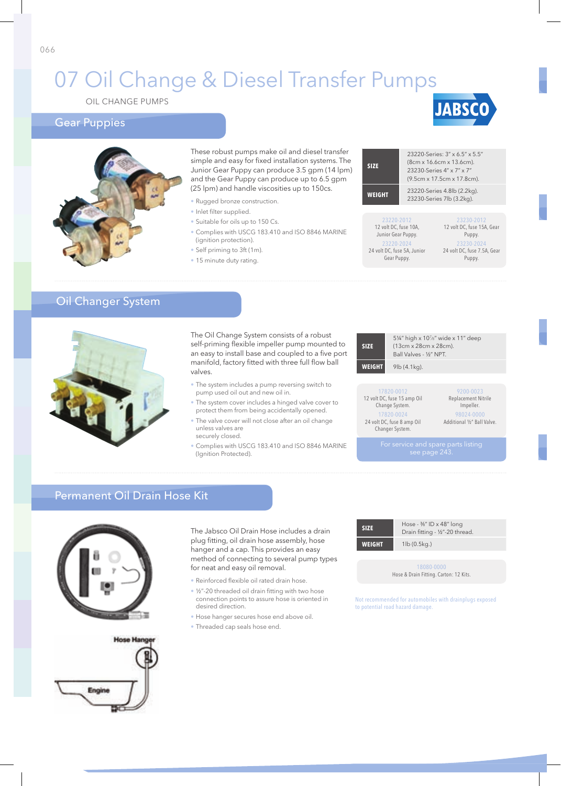## 07 Oil Change & Diesel Transfer Pumps

OIL CHAngE PuMPS

### Gear Puppies





These robust pumps make oil and diesel transfe simple and easy for fixed installation systems. Th Junior gear Puppy can produce 3.5 gpm (14 lpm) and the Gear Puppy can produce up to 6.5 gpm (25 lpm) and handle viscosities up to 150cs.

- Rugged bronze construction.
- · Inlet filter supplied.
- Suitable for oils up to 150 Cs.
- Complies with uSCg 183.410 and ISO 8846 MARInE (ignition protection).
- Self priming to 3ft (1m).
- 15 minute duty rating.

| ۱r<br>١ė<br>n) | <b>SIZE</b>                                               | 23220-Series: 3" x 6.5" x 5.5"<br>(8cm x 16.6cm x 13.6cm).<br>23230-Series 4" x 7" x 7"<br>(9.5cm x 17.5cm x 17.8cm). |
|----------------|-----------------------------------------------------------|-----------------------------------------------------------------------------------------------------------------------|
|                | <b>WEIGHT</b>                                             | 23220-Series 4.8lb (2.2kg).<br>23230-Series 7lb (3.2kg).                                                              |
|                | 23220-2012<br>12 volt DC, fuse 10A,<br>Junior Gear Puppy. | 23230-2012<br>12 volt DC, fuse 15A, Gear                                                                              |

23220-2024 24 volt DC, fuse 5A, Junior Gear Puppy.

23230-2024 24 volt DC, fuse 7.5A, Gear Puppy.

**JABSCO** 

## Oil Changer System



The Oil Change System consists of a robust self-priming flexible impeller pump mounted to an easy to install base and coupled to a five port manifold, factory fitted with three full flow ball valves.

- The system includes a pump reversing switch to pump used oil out and new oil in.
- The system cover includes a hinged valve cover to protect them from being accidentally opened.
- The valve cover will not close after an oil change unless valves are securely closed.
- Complies with USCG 183.410 and ISO 8846 MARINE (Ignition Protected).

| <b>SIZE</b>   | (13cm x 28cm x 28cm).<br>Ball Valves - 1/2" NPT. | 51/4" high x 10 <sup>7</sup> /8" wide x 11" deep |
|---------------|--------------------------------------------------|--------------------------------------------------|
| <b>WEIGHT</b> | $9$ lb $(4.1$ kg).                               |                                                  |
|               |                                                  |                                                  |
|               | 17820-0012<br>12 volt DC, fuse 15 amp Oil        | 9200-0023<br>Replacement Nitrile                 |

Change System. 17820-0024 24 volt DC, fuse 8 amp Oil Changer System.

Impeller. 98024-0000 Additional ½" Ball Valve.

### Permanent Oil Drain Hose Kit



The Jabsco Oil Drain Hose includes a drain plug fitting, oil drain hose assembly, hose hanger and a cap. This provides an easy method of connecting to several pump types for neat and easy oil removal.

- Reinforced flexible oil rated drain hose.
- 1/2"-20 threaded oil drain fitting with two hose connection points to assure hose is oriented in desired direction.
- Hose hanger secures hose end above oil.
- Threaded cap seals hose end.

| <b>SIZE</b>   | Hose - $\frac{36}{1}$ ID x 48" long<br>Drain fitting - 1/2"-20 thread. |
|---------------|------------------------------------------------------------------------|
| <b>WEIGHT</b> | $1$ lb $(0.5$ kg.)                                                     |
|               | 100000000                                                              |

18080-0000 Hose & Drain Fitting. Carton: 12 Kits.

Not recommended for automobiles with drainplugs exposed to potential road hazard damage.

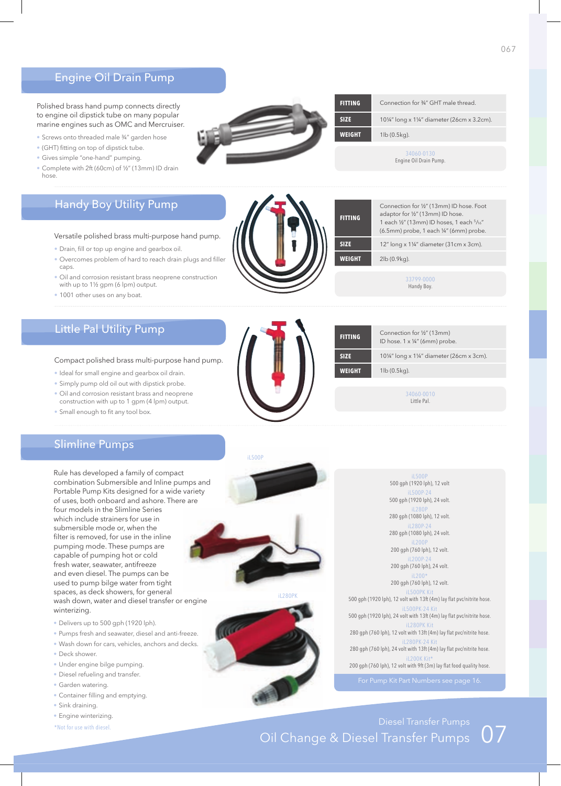### Engine Oil Drain Pump

Polished brass hand pump connects directly to engine oil dipstick tube on many popular marine engines such as OMC and Mercruiser.

- Screws onto threaded male ¾" garden hose
- (GHT) fitting on top of dipstick tube.
- Gives simple "one-hand" pumping.
- Complete with 2ft (60cm) of ½" (13mm) ID drain hose.

### Handy Boy Utility Pump

#### Versatile polished brass multi-purpose hand pump.

- Drain, fill or top up engine and gearbox oil.
- Overcomes problem of hard to reach drain plugs and filler caps.
- Oil and corrosion resistant brass neoprene construction with up to 1½ gpm (6 lpm) output.
- 1001 other uses on any boat.

## Little Pal Utility Pump

### Compact polished brass multi-purpose hand pump.

- Ideal for small engine and gearbox oil drain.
- Simply pump old oil out with dipstick probe.
- Oil and corrosion resistant brass and neoprene construction with up to 1 gpm (4 lpm) output.
- Small enough to fit any tool box.



Handy Boy. 34060-0010 Little Pal. **FITTING** Connection for ½" (13mm) ID hose. 1 x ¼" (6mm) probe. **SIZE** 10¼" long x 1¼" diameter (26cm x 3cm). **WEIGHT** 1lb (0.5kg).

34060-0130 Engine Oil Drain Pump.

**SIZE** 12" long x 1¼" diameter (31cm x 3cm).

Connection for ½" (13mm) ID hose. Foot adaptor for ½" (13mm) ID hose. 1 each ½" (13mm) ID hoses, 1 each 5/16" (6.5mm) probe, 1 each ¼" (6mm) probe.

**SIZE** 10¼" long x 1¼" diameter (26cm x 3.2cm).

**FITTING** Connection for 34" GHT male thread.

**WEIGHT** 1lb (0.5kg).

**WEIGHT** 2lb (0.9kg).

**FITTING**

### Slimline Pumps

Rule has developed a family of compact combination Submersible and Inline pumps and Portable Pump kits designed for a wide variety of uses, both onboard and ashore. There are four models in the Slimline Series which include strainers for use in submersible mode or, when the filter is removed, for use in the inline pumping mode. These pumps are capable of pumping hot or cold fresh water, seawater, antifreeze and even diesel. The pumps can be used to pump bilge water from tight spaces, as deck showers, for general wash down, water and diesel transfer or engine winterizing.

- Delivers up to 500 gph (1920 lph).
- Pumps fresh and seawater, diesel and anti-freeze.
- Wash down for cars, vehicles, anchors and decks.
- Deck shower.
- Under engine bilge pumping.
- Diesel refueling and transfer.
- garden watering.
- Container filling and emptying.
- Sink draining.
- Engine winterizing.
- \*Not for use with diesel.





iL500P 500 gph (1920 lph), 12 volt iL500P-24 500 gph (1920 lph), 24 volt. iL280P 280 gph (1080 lph), 12 volt. iL280P-24 280 gph (1080 lph), 24 volt. iL200P 200 gph (760 lph), 12 volt. iL200P-24 200 gph (760 lph), 24 volt. iL200\* 200 gph (760 lph), 12 volt. iL500PK Kit<br>500 gph (1920 lph), 12 volt with 13ft (4m) lay flat pvc/nitrite hose.  $i$ L500PK-24 $k$ 500 gph (1920 lph), 24 volt with 13ft (4m) lay flat pvc/nitrite hose. iL280PK Kit<br>280 gph (760 lph), 12 volt with 13ft (4m) lay flat pvc/nitrite hose. il280PK-24 280 gph (760 lph), 24 volt with 13ft (4m) lay flat pvc/nitrite hose. iL200K Kit\*<br>200 gph (760 lph), 12 volt with 9ft (3m) lay flat food quality hose.

# Diesel Transfer Pumps<br>Oil Change & Diesel Transfer Pumps 07



iL280PK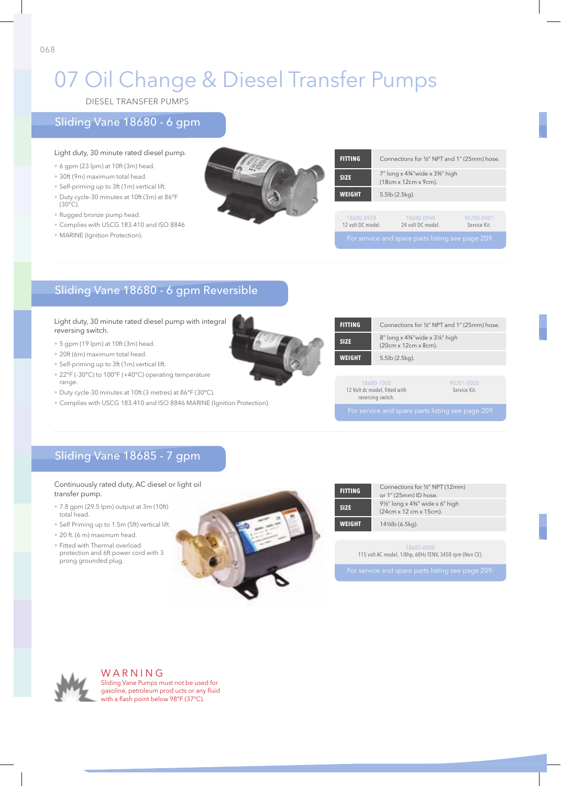## 07 Oil Change & Diesel Transfer Pumps

DIESEL TRAnSFER PuMPS

### Sliding Vane 18680 - 6 gpm

### Light duty, 30 minute rated diesel pump.

- 6 gpm (23 lpm) at 10ft (3m) head.
- 30ft (9m) maximum total head.
- Self-priming up to 3ft (1m) vertical lift.
- Duty cycle-30 minutes at 10ft (3m) at 86°F  $(30^{\circ}C)$ .
- Rugged bronze pump head.
- Complies with uSCg 183.410 and ISO 8846
- MARINE (Ignition Protection).



| <b>FITTING</b>                  |                      | Connections for 1/2" NPT and 1" (25mm) hose.             |                            |
|---------------------------------|----------------------|----------------------------------------------------------|----------------------------|
| <b>SIZE</b>                     |                      | 7" long x 43/4"wide x 33/6" high<br>(18cm x 12cm x 9cm). |                            |
| <b>WEIGHT</b>                   | $5.5$ lb $(2.5kg)$ . |                                                          |                            |
|                                 |                      |                                                          |                            |
| 18680-0920<br>12 volt DC model. |                      | 18680-0940<br>24 volt DC model.                          | 90200-0001<br>Service Kit. |
|                                 |                      | For service and spare parts listing see page 209         |                            |

## Sliding Vane 18680 - 6 gpm Reversible

### Light duty, 30 minute rated diesel pump with integral reversing switch.

- 5 gpm (19 lpm) at 10ft (3m) head.
- 20ft (6m) maximum total head.
- Self-priming up to 3ft (1m) vertical lift.
- 22°F (-30°C) to 100°F (+40°C) operating temperature range.
- Duty cycle-30 minutes at 10ft (3 metres) at 86°F (30°C).
- Complies with USCG 183.410 and ISO 8846 MARINE (Ignition Protection).



| <b>FITTING</b> |                                                                  | Connections for 1/2" NPT and 1" (25mm) hose. |
|----------------|------------------------------------------------------------------|----------------------------------------------|
| <b>SIZE</b>    | 8" long x 43/4" wide x 31/4" high<br>(20cm x 12cm x 8cm).        |                                              |
| <b>WEIGHT</b>  | 5.5lb (2.5kg).                                                   |                                              |
|                |                                                                  |                                              |
|                | 18680-1000<br>12 Volt dc model, fitted with<br>reversing switch. | 90201-0000<br>Service Kit.                   |
|                | For service and spare parts listing see page 209                 |                                              |

## Sliding Vane 18685 - 7 gpm

### Continuously rated duty, AC diesel or light oil transfer pump.

- 7.8 gpm (29.5 lpm) output at 3m (10ft) total head.
- Self Priming up to 1.5m (5ft) vertical lift.
- 20 ft. (6 m) maximum head.
- Fitted with Thermal overload protection and 6ft power cord with 3 prong grounded plug.



| <b>FITTING</b> | Connections for 1/2" NPT (12mm)<br>or 1" (25mm) ID hose.              |  |  |
|----------------|-----------------------------------------------------------------------|--|--|
| <b>SIZE</b>    | 91/2" long x 43/4" wide x 6" high<br>(24cm x 12 cm x 15cm).           |  |  |
| <b>WEIGHT</b>  | 14½lb (6.5kg).                                                        |  |  |
|                |                                                                       |  |  |
|                | 18685-0000<br>115 volt AC model, 1/8hp, 60Hz TENV, 3450 rpm (Non CE). |  |  |



WARNING Sliding Vane Pumps must not be used for gasoline, petroleum prod ucts or any fluid with a flash point below 98°F (37°C).